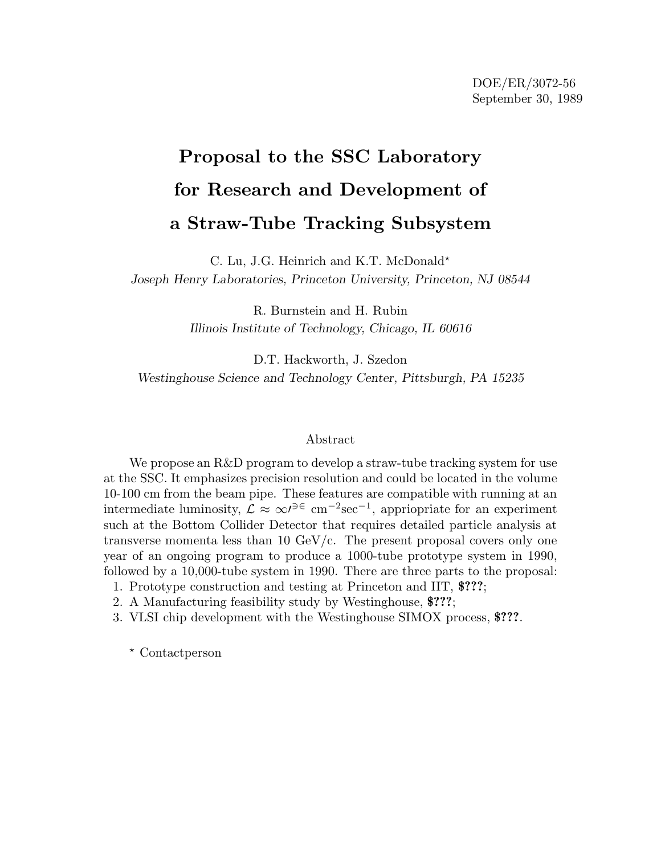# **Proposal to the SSC Laboratory for Research and Development of a Straw-Tube Tracking Subsystem**

C. Lu, J.G. Heinrich and K.T. McDonald\* *Joseph Henry Laboratories, Princeton University, Princeton, NJ 08544*

> R. Burnstein and H. Rubin *Illinois Institute of Technology, Chicago, IL 60616*

D.T. Hackworth, J. Szedon *Westinghouse Science and Technology Center, Pittsburgh, PA 15235*

## Abstract

We propose an R&D program to develop a straw-tube tracking system for use at the SSC. It emphasizes precision resolution and could be located in the volume 10-100 cm from the beam pipe. These features are compatible with running at an intermediate luminosity,  $\mathcal{L} \approx \infty^{j^2 \in \mathcal{C}}$  cm<sup>-2</sup>sec<sup>-1</sup>, appriopriate for an experiment such at the Bottom Collider Detector that requires detailed particle analysis at transverse momenta less than 10 GeV/c. The present proposal covers only one year of an ongoing program to produce a 1000-tube prototype system in 1990, followed by a 10,000-tube system in 1990. There are three parts to the proposal:

- 1. Prototype construction and testing at Princeton and IIT, **\$???**;
- 2. A Manufacturing feasibility study by Westinghouse, **\$???**;
- 3. VLSI chip development with the Westinghouse SIMOX process, **\$???**.

- Contactperson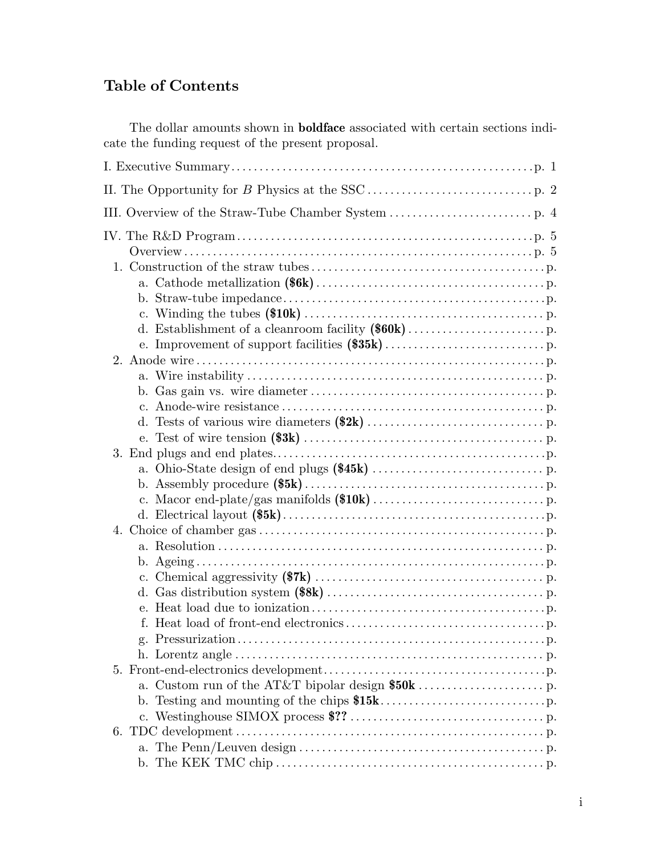# **Table of Contents**

The dollar amounts shown in **boldface** associated with certain sections indicate the funding request of the present proposal.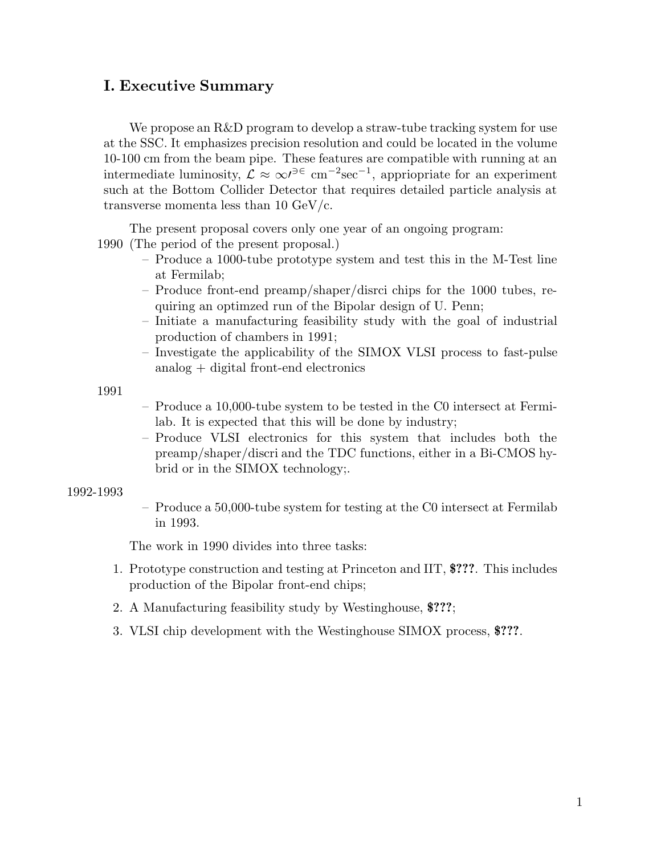# **I. Executive Summary**

We propose an R&D program to develop a straw-tube tracking system for use at the SSC. It emphasizes precision resolution and could be located in the volume 10-100 cm from the beam pipe. These features are compatible with running at an intermediate luminosity,  $\mathcal{L} \approx \infty^{j^2 \in \mathcal{C}}$  cm<sup>-2</sup>sec<sup>-1</sup>, appriopriate for an experiment such at the Bottom Collider Detector that requires detailed particle analysis at transverse momenta less than 10 GeV/c.

The present proposal covers only one year of an ongoing program:

1990 (The period of the present proposal.)

- Produce a 1000-tube prototype system and test this in the M-Test line at Fermilab;
- Produce front-end preamp/shaper/disrci chips for the 1000 tubes, requiring an optimzed run of the Bipolar design of U. Penn;
- Initiate a manufacturing feasibility study with the goal of industrial production of chambers in 1991;
- Investigate the applicability of the SIMOX VLSI process to fast-pulse analog + digital front-end electronics

1991

- Produce a 10,000-tube system to be tested in the C0 intersect at Fermilab. It is expected that this will be done by industry;
- Produce VLSI electronics for this system that includes both the preamp/shaper/discri and the TDC functions, either in a Bi-CMOS hybrid or in the SIMOX technology;.

# 1992-1993

– Produce a 50,000-tube system for testing at the C0 intersect at Fermilab in 1993.

The work in 1990 divides into three tasks:

- 1. Prototype construction and testing at Princeton and IIT, **\$???**. This includes production of the Bipolar front-end chips;
- 2. A Manufacturing feasibility study by Westinghouse, **\$???**;
- 3. VLSI chip development with the Westinghouse SIMOX process, **\$???**.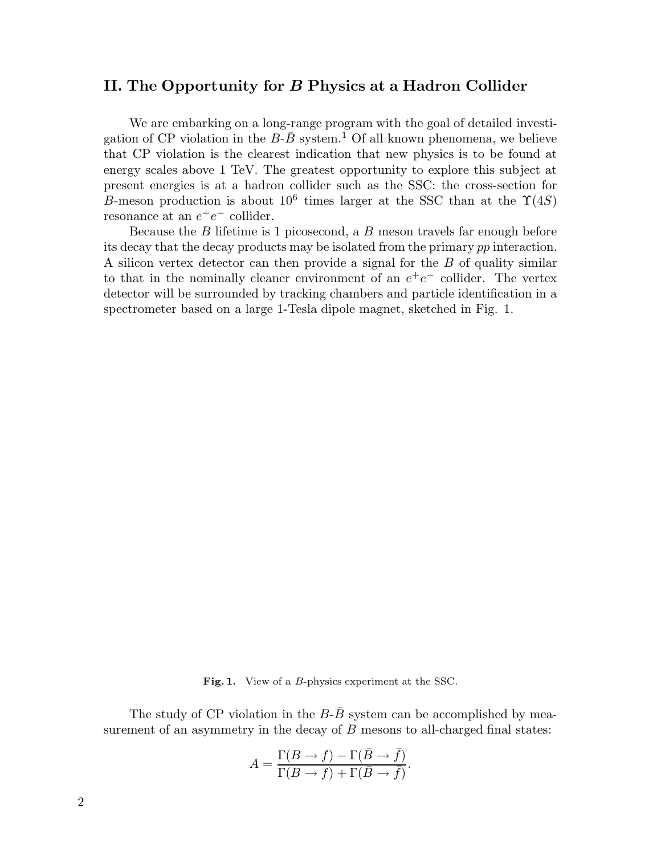# **II. The Opportunity for** *B* **Physics at a Hadron Collider**

We are embarking on a long-range program with the goal of detailed investigation of CP violation in the  $B-\overline{B}$  system.<sup>1</sup> Of all known phenomena, we believe that CP violation is the clearest indication that new physics is to be found at energy scales above 1 TeV. The greatest opportunity to explore this subject at present energies is at a hadron collider such as the SSC: the cross-section for B-meson production is about  $10^6$  times larger at the SSC than at the  $\Upsilon(4S)$ resonance at an  $e^+e^-$  collider.

Because the  $B$  lifetime is 1 picosecond, a  $B$  meson travels far enough before its decay that the decay products may be isolated from the primary pp interaction. A silicon vertex detector can then provide a signal for the B of quality similar to that in the nominally cleaner environment of an  $e^+e^-$  collider. The vertex detector will be surrounded by tracking chambers and particle identification in a spectrometer based on a large 1-Tesla dipole magnet, sketched in Fig. 1.

**Fig. 1.** View of a *<sup>B</sup>*-physics experiment at the SSC.

The study of CP violation in the  $B-\overline{B}$  system can be accomplished by measurement of an asymmetry in the decay of  $B$  mesons to all-charged final states:

$$
A = \frac{\Gamma(B \to f) - \Gamma(\bar{B} \to \bar{f})}{\Gamma(B \to f) + \Gamma(\bar{B} \to \bar{f})}.
$$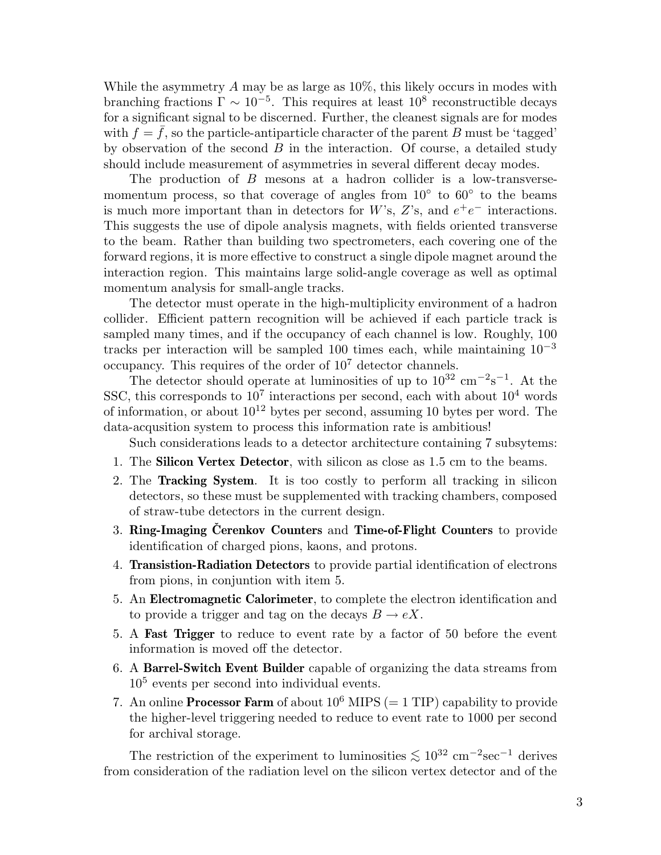While the asymmetry  $A$  may be as large as  $10\%$ , this likely occurs in modes with branching fractions  $\Gamma \sim 10^{-5}$ . This requires at least  $10^8$  reconstructible decays for a significant signal to be discerned. Further, the cleanest signals are for modes with  $f = f$ , so the particle-antiparticle character of the parent B must be 'tagged' by observation of the second  $B$  in the interaction. Of course, a detailed study should include measurement of asymmetries in several different decay modes.

The production of B mesons at a hadron collider is a low-transversemomentum process, so that coverage of angles from  $10<sup>°</sup>$  to  $60<sup>°</sup>$  to the beams is much more important than in detectors for W's, Z's, and  $e^+e^-$  interactions. This suggests the use of dipole analysis magnets, with fields oriented transverse to the beam. Rather than building two spectrometers, each covering one of the forward regions, it is more effective to construct a single dipole magnet around the interaction region. This maintains large solid-angle coverage as well as optimal momentum analysis for small-angle tracks.

The detector must operate in the high-multiplicity environment of a hadron collider. Efficient pattern recognition will be achieved if each particle track is sampled many times, and if the occupancy of each channel is low. Roughly, 100 tracks per interaction will be sampled 100 times each, while maintaining  $10^{-3}$ occupancy. This requires of the order of  $10<sup>7</sup>$  detector channels.

The detector should operate at luminosities of up to  $10^{32}$  cm<sup>-2</sup>s<sup>-1</sup>. At the SSC, this corresponds to  $10^7$  interactions per second, each with about  $10^4$  words of information, or about  $10^{12}$  bytes per second, assuming 10 bytes per word. The data-acqusition system to process this information rate is ambitious!

Such considerations leads to a detector architecture containing 7 subsytems:

- 1. The **Silicon Vertex Detector**, with silicon as close as 1.5 cm to the beams.
- 2. The **Tracking System**. It is too costly to perform all tracking in silicon detectors, so these must be supplemented with tracking chambers, composed of straw-tube detectors in the current design.
- **3. Ring-Imaging Cerenkov Counters** and **Time-of-Flight Counters** to provide identification of charged pions, kaons, and protons.
- 4. **Transistion-Radiation Detectors** to provide partial identification of electrons from pions, in conjuntion with item 5.
- 5. An **Electromagnetic Calorimeter**, to complete the electron identification and to provide a trigger and tag on the decays  $B \to eX$ .
- 5. A **Fast Trigger** to reduce to event rate by a factor of 50 before the event information is moved off the detector.
- 6. A **Barrel-Switch Event Builder** capable of organizing the data streams from  $10<sup>5</sup>$  events per second into individual events.
- 7. An online **Processor Farm** of about  $10^6$  MIPS ( $= 1$  TIP) capability to provide the higher-level triggering needed to reduce to event rate to 1000 per second for archival storage.

The restriction of the experiment to luminosities  $\lesssim 10^{32}$  cm<sup>-2</sup>sec<sup>-1</sup> derives from consideration of the radiation level on the silicon vertex detector and of the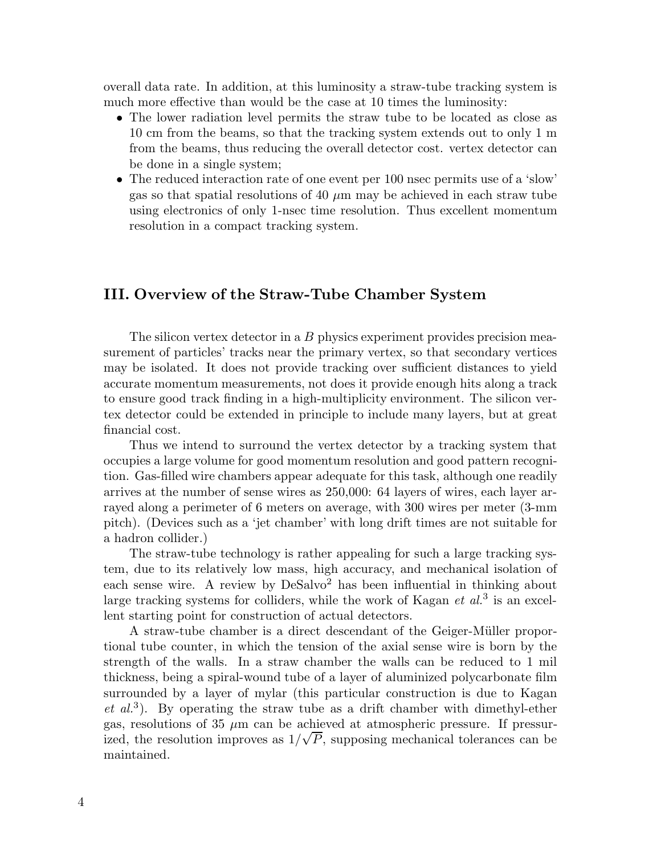overall data rate. In addition, at this luminosity a straw-tube tracking system is much more effective than would be the case at 10 times the luminosity:

- The lower radiation level permits the straw tube to be located as close as 10 cm from the beams, so that the tracking system extends out to only 1 m from the beams, thus reducing the overall detector cost. vertex detector can be done in a single system;
- The reduced interaction rate of one event per 100 nsec permits use of a 'slow' gas so that spatial resolutions of 40  $\mu$ m may be achieved in each straw tube using electronics of only 1-nsec time resolution. Thus excellent momentum resolution in a compact tracking system.

# **III. Overview of the Straw-Tube Chamber System**

The silicon vertex detector in a B physics experiment provides precision measurement of particles' tracks near the primary vertex, so that secondary vertices may be isolated. It does not provide tracking over sufficient distances to yield accurate momentum measurements, not does it provide enough hits along a track to ensure good track finding in a high-multiplicity environment. The silicon vertex detector could be extended in principle to include many layers, but at great financial cost.

Thus we intend to surround the vertex detector by a tracking system that occupies a large volume for good momentum resolution and good pattern recognition. Gas-filled wire chambers appear adequate for this task, although one readily arrives at the number of sense wires as 250,000: 64 layers of wires, each layer arrayed along a perimeter of 6 meters on average, with 300 wires per meter (3-mm pitch). (Devices such as a 'jet chamber' with long drift times are not suitable for a hadron collider.)

The straw-tube technology is rather appealing for such a large tracking system, due to its relatively low mass, high accuracy, and mechanical isolation of each sense wire. A review by  $DeSalvo<sup>2</sup>$  has been influential in thinking about large tracking systems for colliders, while the work of Kagan *et al.*<sup>3</sup> is an excellent starting point for construction of actual detectors.

A straw-tube chamber is a direct descendant of the Geiger-M¨uller proportional tube counter, in which the tension of the axial sense wire is born by the strength of the walls. In a straw chamber the walls can be reduced to 1 mil thickness, being a spiral-wound tube of a layer of aluminized polycarbonate film surrounded by a layer of mylar (this particular construction is due to Kagan *et al.*<sup>3</sup>). By operating the straw tube as a drift chamber with dimethyl-ether gas, resolutions of 35  $\mu$ m can be achieved at atmospheric pressure. If pressurized, the resolution improves as  $1/\sqrt{P}$ , supposing mechanical tolerances can be maintained.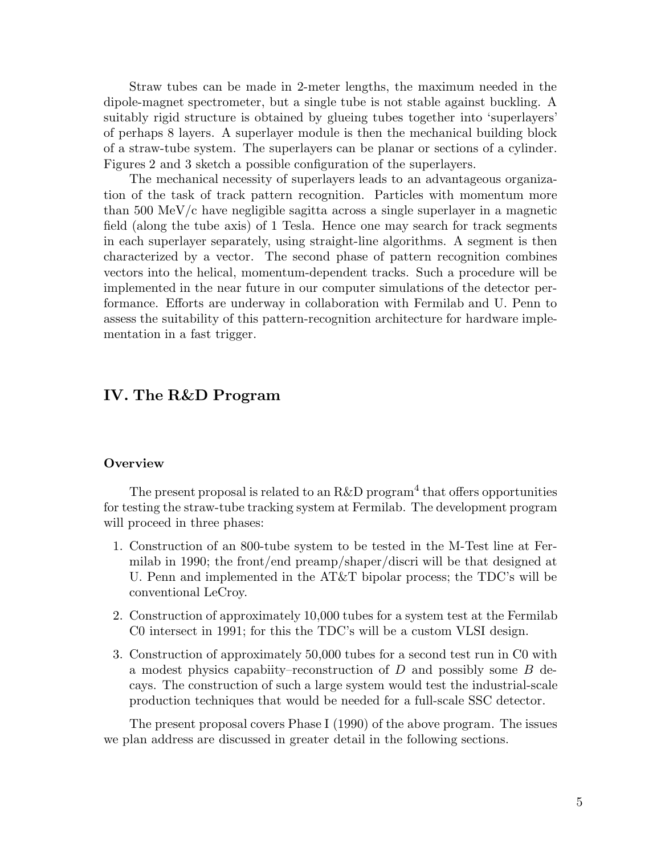Straw tubes can be made in 2-meter lengths, the maximum needed in the dipole-magnet spectrometer, but a single tube is not stable against buckling. A suitably rigid structure is obtained by glueing tubes together into 'superlayers' of perhaps 8 layers. A superlayer module is then the mechanical building block of a straw-tube system. The superlayers can be planar or sections of a cylinder. Figures 2 and 3 sketch a possible configuration of the superlayers.

The mechanical necessity of superlayers leads to an advantageous organization of the task of track pattern recognition. Particles with momentum more than 500 MeV/c have negligible sagitta across a single superlayer in a magnetic field (along the tube axis) of 1 Tesla. Hence one may search for track segments in each superlayer separately, using straight-line algorithms. A segment is then characterized by a vector. The second phase of pattern recognition combines vectors into the helical, momentum-dependent tracks. Such a procedure will be implemented in the near future in our computer simulations of the detector performance. Efforts are underway in collaboration with Fermilab and U. Penn to assess the suitability of this pattern-recognition architecture for hardware implementation in a fast trigger.

# **IV. The R&D Program**

#### **Overview**

The present proposal is related to an R&D program<sup>4</sup> that offers opportunities for testing the straw-tube tracking system at Fermilab. The development program will proceed in three phases:

- 1. Construction of an 800-tube system to be tested in the M-Test line at Fermilab in 1990; the front/end preamp/shaper/discri will be that designed at U. Penn and implemented in the AT&T bipolar process; the TDC's will be conventional LeCroy.
- 2. Construction of approximately 10,000 tubes for a system test at the Fermilab C0 intersect in 1991; for this the TDC's will be a custom VLSI design.
- 3. Construction of approximately 50,000 tubes for a second test run in C0 with a modest physics capabiity–reconstruction of  $D$  and possibly some  $B$  decays. The construction of such a large system would test the industrial-scale production techniques that would be needed for a full-scale SSC detector.

The present proposal covers Phase I (1990) of the above program. The issues we plan address are discussed in greater detail in the following sections.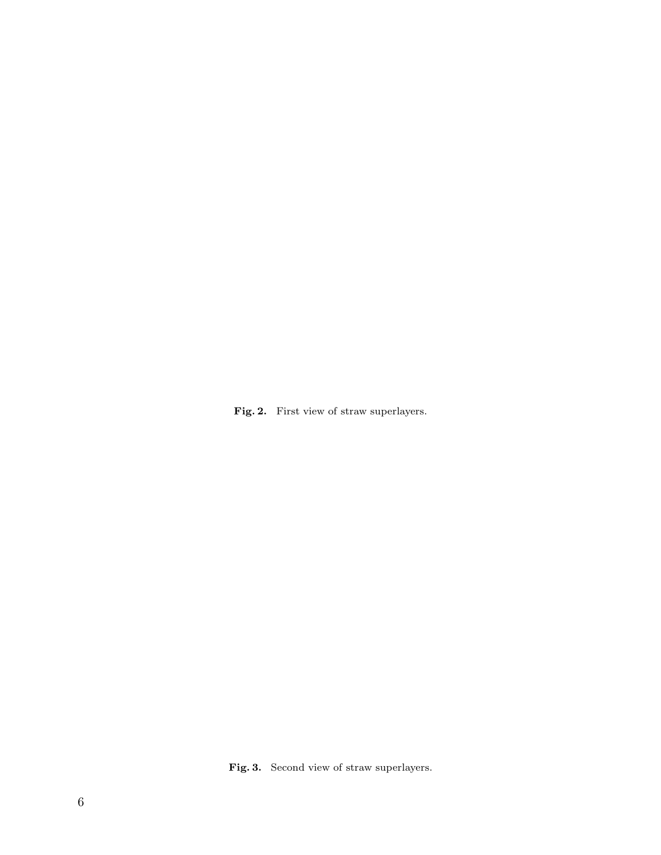Fig. 2. First view of straw superlayers.

Fig. 3. Second view of straw superlayers.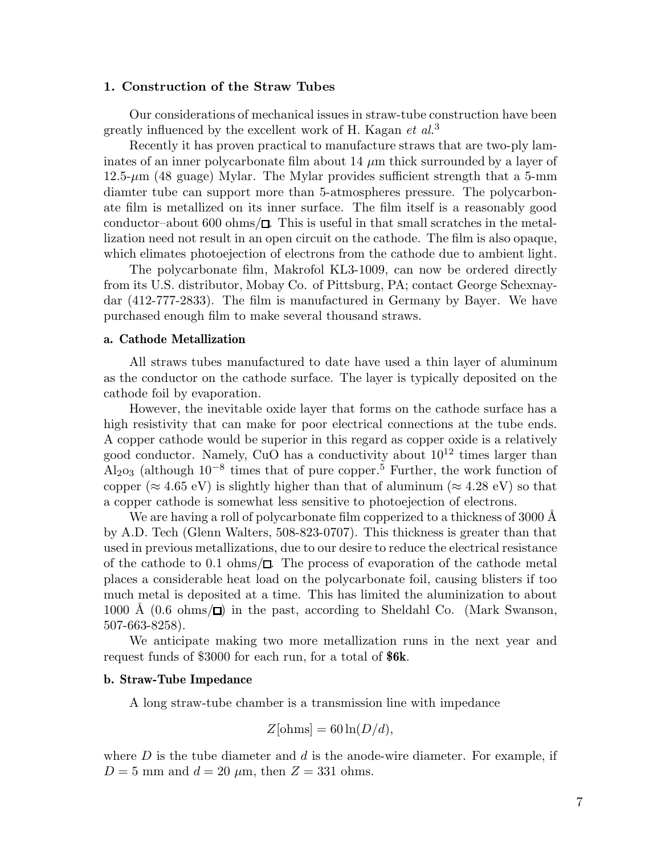#### **1. Construction of the Straw Tubes**

Our considerations of mechanical issues in straw-tube construction have been greatly influenced by the excellent work of H. Kagan *et al.*<sup>3</sup>

Recently it has proven practical to manufacture straws that are two-ply laminates of an inner polycarbonate film about 14  $\mu$ m thick surrounded by a layer of  $12.5\text{-}\mu\text{m}$  (48 guage) Mylar. The Mylar provides sufficient strength that a 5-mm diamter tube can support more than 5-atmospheres pressure. The polycarbonate film is metallized on its inner surface. The film itself is a reasonably good conductor–about 600 ohms/ $\Box$ . This is useful in that small scratches in the metallization need not result in an open circuit on the cathode. The film is also opaque, which elimates photoejection of electrons from the cathode due to ambient light.

The polycarbonate film, Makrofol KL3-1009, can now be ordered directly from its U.S. distributor, Mobay Co. of Pittsburg, PA; contact George Schexnaydar (412-777-2833). The film is manufactured in Germany by Bayer. We have purchased enough film to make several thousand straws.

#### **a. Cathode Metallization**

All straws tubes manufactured to date have used a thin layer of aluminum as the conductor on the cathode surface. The layer is typically deposited on the cathode foil by evaporation.

However, the inevitable oxide layer that forms on the cathode surface has a high resistivity that can make for poor electrical connections at the tube ends. A copper cathode would be superior in this regard as copper oxide is a relatively good conductor. Namely, CuO has a conductivity about  $10^{12}$  times larger than Al<sub>2</sub>o<sub>3</sub> (although  $10^{-8}$  times that of pure copper.<sup>5</sup> Further, the work function of copper ( $\approx 4.65$  eV) is slightly higher than that of aluminum ( $\approx 4.28$  eV) so that a copper cathode is somewhat less sensitive to photoejection of electrons.

We are having a roll of polycarbonate film copperized to a thickness of 3000 Å by A.D. Tech (Glenn Walters, 508-823-0707). This thickness is greater than that used in previous metallizations, due to our desire to reduce the electrical resistance of the cathode to 0.1 ohms/ $\Box$ . The process of evaporation of the cathode metal places a considerable heat load on the polycarbonate foil, causing blisters if too much metal is deposited at a time. This has limited the aluminization to about 1000 Å  $(0.6 \text{ ohms}/\Box)$  in the past, according to Sheldahl Co. (Mark Swanson, 507-663-8258).

We anticipate making two more metallization runs in the next year and request funds of \$3000 for each run, for a total of **\$6k**.

#### **b. Straw-Tube Impedance**

A long straw-tube chamber is a transmission line with impedance

$$
Z[\text{ohms}] = 60 \ln(D/d),
$$

where  $D$  is the tube diameter and  $d$  is the anode-wire diameter. For example, if  $D = 5$  mm and  $d = 20 \mu$ m, then  $Z = 331$  ohms.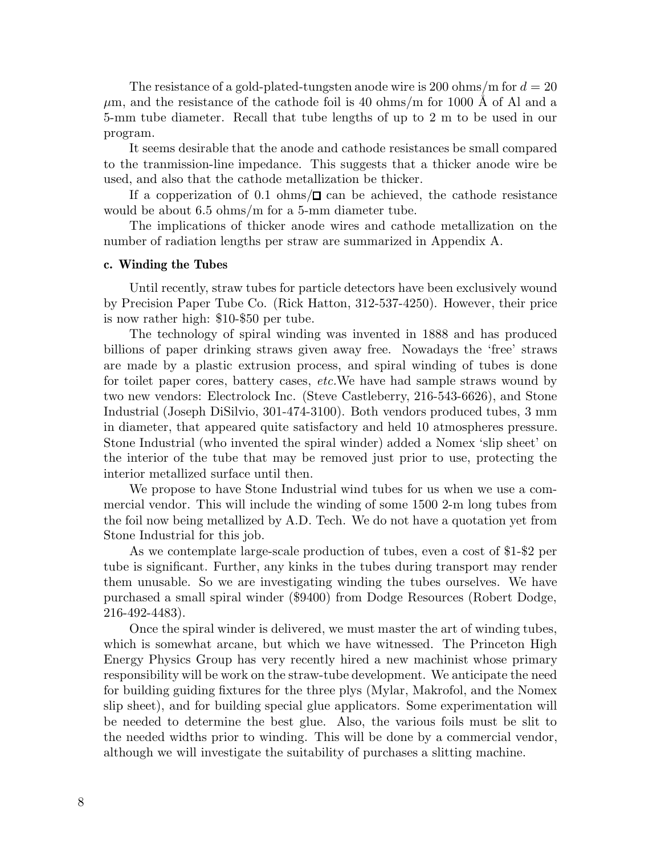The resistance of a gold-plated-tungsten anode wire is 200 ohms/m for  $d = 20$  $\mu$ m, and the resistance of the cathode foil is 40 ohms/m for 1000 Å of Al and a 5-mm tube diameter. Recall that tube lengths of up to 2 m to be used in our program.

It seems desirable that the anode and cathode resistances be small compared to the tranmission-line impedance. This suggests that a thicker anode wire be used, and also that the cathode metallization be thicker.

If a copperization of 0.1 ohms/ $\square$  can be achieved, the cathode resistance would be about 6.5 ohms/m for a 5-mm diameter tube.

The implications of thicker anode wires and cathode metallization on the number of radiation lengths per straw are summarized in Appendix A.

#### **c. Winding the Tubes**

Until recently, straw tubes for particle detectors have been exclusively wound by Precision Paper Tube Co. (Rick Hatton, 312-537-4250). However, their price is now rather high: \$10-\$50 per tube.

The technology of spiral winding was invented in 1888 and has produced billions of paper drinking straws given away free. Nowadays the 'free' straws are made by a plastic extrusion process, and spiral winding of tubes is done for toilet paper cores, battery cases, *etc.*We have had sample straws wound by two new vendors: Electrolock Inc. (Steve Castleberry, 216-543-6626), and Stone Industrial (Joseph DiSilvio, 301-474-3100). Both vendors produced tubes, 3 mm in diameter, that appeared quite satisfactory and held 10 atmospheres pressure. Stone Industrial (who invented the spiral winder) added a Nomex 'slip sheet' on the interior of the tube that may be removed just prior to use, protecting the interior metallized surface until then.

We propose to have Stone Industrial wind tubes for us when we use a commercial vendor. This will include the winding of some 1500 2-m long tubes from the foil now being metallized by A.D. Tech. We do not have a quotation yet from Stone Industrial for this job.

As we contemplate large-scale production of tubes, even a cost of \$1-\$2 per tube is significant. Further, any kinks in the tubes during transport may render them unusable. So we are investigating winding the tubes ourselves. We have purchased a small spiral winder (\$9400) from Dodge Resources (Robert Dodge, 216-492-4483).

Once the spiral winder is delivered, we must master the art of winding tubes, which is somewhat arcane, but which we have witnessed. The Princeton High Energy Physics Group has very recently hired a new machinist whose primary responsibility will be work on the straw-tube development. We anticipate the need for building guiding fixtures for the three plys (Mylar, Makrofol, and the Nomex slip sheet), and for building special glue applicators. Some experimentation will be needed to determine the best glue. Also, the various foils must be slit to the needed widths prior to winding. This will be done by a commercial vendor, although we will investigate the suitability of purchases a slitting machine.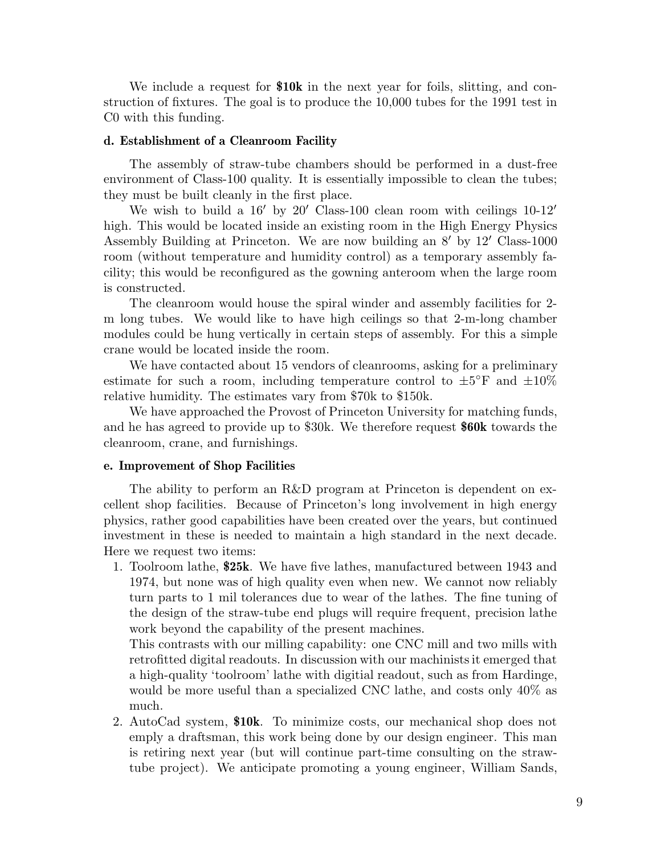We include a request for **\$10k** in the next year for foils, slitting, and construction of fixtures. The goal is to produce the 10,000 tubes for the 1991 test in C0 with this funding.

#### **d. Establishment of a Cleanroom Facility**

The assembly of straw-tube chambers should be performed in a dust-free environment of Class-100 quality. It is essentially impossible to clean the tubes; they must be built cleanly in the first place.

We wish to build a  $16'$  by 20' Class-100 clean room with ceilings  $10-12'$ high. This would be located inside an existing room in the High Energy Physics Assembly Building at Princeton. We are now building an  $8'$  by  $12'$  Class-1000 room (without temperature and humidity control) as a temporary assembly facility; this would be reconfigured as the gowning anteroom when the large room is constructed.

The cleanroom would house the spiral winder and assembly facilities for 2 m long tubes. We would like to have high ceilings so that 2-m-long chamber modules could be hung vertically in certain steps of assembly. For this a simple crane would be located inside the room.

We have contacted about 15 vendors of cleanrooms, asking for a preliminary estimate for such a room, including temperature control to  $\pm 5^{\circ}$  F and  $\pm 10\%$ relative humidity. The estimates vary from \$70k to \$150k.

We have approached the Provost of Princeton University for matching funds, and he has agreed to provide up to \$30k. We therefore request **\$60k** towards the cleanroom, crane, and furnishings.

#### **e. Improvement of Shop Facilities**

The ability to perform an R&D program at Princeton is dependent on excellent shop facilities. Because of Princeton's long involvement in high energy physics, rather good capabilities have been created over the years, but continued investment in these is needed to maintain a high standard in the next decade. Here we request two items:

1. Toolroom lathe, **\$25k**. We have five lathes, manufactured between 1943 and 1974, but none was of high quality even when new. We cannot now reliably turn parts to 1 mil tolerances due to wear of the lathes. The fine tuning of the design of the straw-tube end plugs will require frequent, precision lathe work beyond the capability of the present machines.

This contrasts with our milling capability: one CNC mill and two mills with retrofitted digital readouts. In discussion with our machinists it emerged that a high-quality 'toolroom' lathe with digitial readout, such as from Hardinge, would be more useful than a specialized CNC lathe, and costs only 40% as much.

2. AutoCad system, **\$10k**. To minimize costs, our mechanical shop does not emply a draftsman, this work being done by our design engineer. This man is retiring next year (but will continue part-time consulting on the strawtube project). We anticipate promoting a young engineer, William Sands,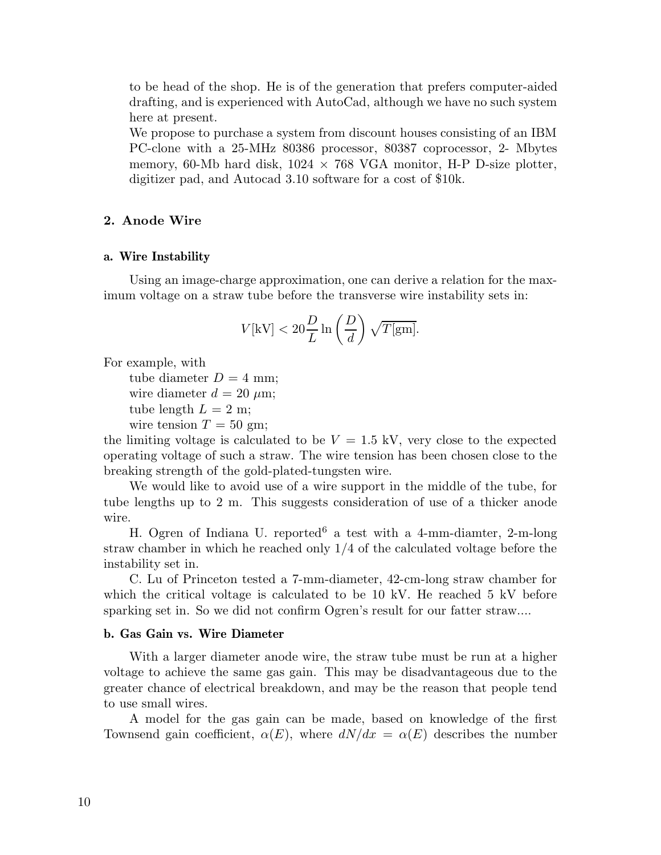to be head of the shop. He is of the generation that prefers computer-aided drafting, and is experienced with AutoCad, although we have no such system here at present.

We propose to purchase a system from discount houses consisting of an IBM PC-clone with a 25-MHz 80386 processor, 80387 coprocessor, 2- Mbytes memory, 60-Mb hard disk,  $1024 \times 768$  VGA monitor, H-P D-size plotter, digitizer pad, and Autocad 3.10 software for a cost of \$10k.

## **2. Anode Wire**

#### **a. Wire Instability**

Using an image-charge approximation, one can derive a relation for the maximum voltage on a straw tube before the transverse wire instability sets in:

$$
V[\mathrm{kV}] < 20 \frac{D}{L} \ln\left(\frac{D}{d}\right) \sqrt{T[\mathrm{gm}]}.
$$

For example, with

tube diameter  $D = 4$  mm;

wire diameter  $d = 20 \mu m$ ;

tube length  $L = 2$  m;

wire tension  $T = 50$  gm;

the limiting voltage is calculated to be  $V = 1.5$  kV, very close to the expected operating voltage of such a straw. The wire tension has been chosen close to the breaking strength of the gold-plated-tungsten wire.

We would like to avoid use of a wire support in the middle of the tube, for tube lengths up to 2 m. This suggests consideration of use of a thicker anode wire.

H. Ogren of Indiana U. reported<sup>6</sup> a test with a 4-mm-diamter, 2-m-long straw chamber in which he reached only 1/4 of the calculated voltage before the instability set in.

C. Lu of Princeton tested a 7-mm-diameter, 42-cm-long straw chamber for which the critical voltage is calculated to be 10 kV. He reached 5 kV before sparking set in. So we did not confirm Ogren's result for our fatter straw....

#### **b. Gas Gain vs. Wire Diameter**

With a larger diameter anode wire, the straw tube must be run at a higher voltage to achieve the same gas gain. This may be disadvantageous due to the greater chance of electrical breakdown, and may be the reason that people tend to use small wires.

A model for the gas gain can be made, based on knowledge of the first Townsend gain coefficient,  $\alpha(E)$ , where  $dN/dx = \alpha(E)$  describes the number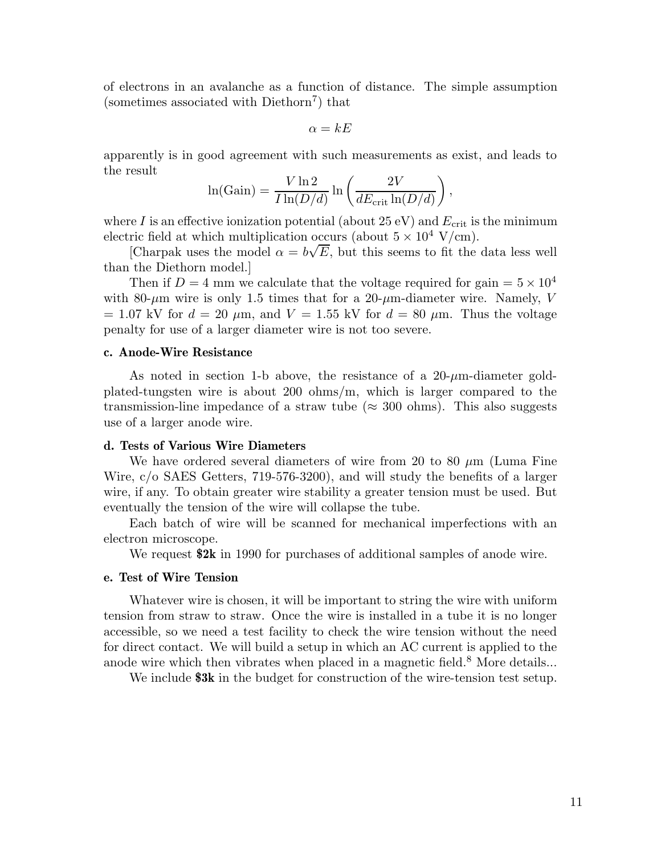of electrons in an avalanche as a function of distance. The simple assumption (sometimes associated with  $D$ iethorn<sup>7</sup>) that

$$
\alpha = kE
$$

apparently is in good agreement with such measurements as exist, and leads to the result

$$
\ln(\text{Gain}) = \frac{V \ln 2}{I \ln(D/d)} \ln \left( \frac{2V}{dE_{\text{crit}} \ln(D/d)} \right),
$$

where I is an effective ionization potential (about 25 eV) and  $E_{\text{crit}}$  is the minimum electric field at which multiplication occurs (about  $5 \times 10^4$  V/cm).

[Charpak uses the model  $\alpha = b\sqrt{E}$ , but this seems to fit the data less well than the Diethorn model.]

Then if  $D = 4$  mm we calculate that the voltage required for gain  $= 5 \times 10^4$ with 80- $\mu$ m wire is only 1.5 times that for a 20- $\mu$ m-diameter wire. Namely, V  $= 1.07 \text{ kV}$  for  $d = 20 \text{ }\mu\text{m}$ , and  $V = 1.55 \text{ kV}$  for  $d = 80 \text{ }\mu\text{m}$ . Thus the voltage penalty for use of a larger diameter wire is not too severe.

#### **c. Anode-Wire Resistance**

As noted in section 1-b above, the resistance of a  $20-\mu m$ -diameter goldplated-tungsten wire is about 200 ohms/m, which is larger compared to the transmission-line impedance of a straw tube ( $\approx 300$  ohms). This also suggests use of a larger anode wire.

#### **d. Tests of Various Wire Diameters**

We have ordered several diameters of wire from 20 to 80  $\mu$ m (Luma Fine Wire, c/o SAES Getters, 719-576-3200), and will study the benefits of a larger wire, if any. To obtain greater wire stability a greater tension must be used. But eventually the tension of the wire will collapse the tube.

Each batch of wire will be scanned for mechanical imperfections with an electron microscope.

We request **\$2k** in 1990 for purchases of additional samples of anode wire.

#### **e. Test of Wire Tension**

Whatever wire is chosen, it will be important to string the wire with uniform tension from straw to straw. Once the wire is installed in a tube it is no longer accessible, so we need a test facility to check the wire tension without the need for direct contact. We will build a setup in which an AC current is applied to the anode wire which then vibrates when placed in a magnetic field.<sup>8</sup> More details...

We include **\$3k** in the budget for construction of the wire-tension test setup.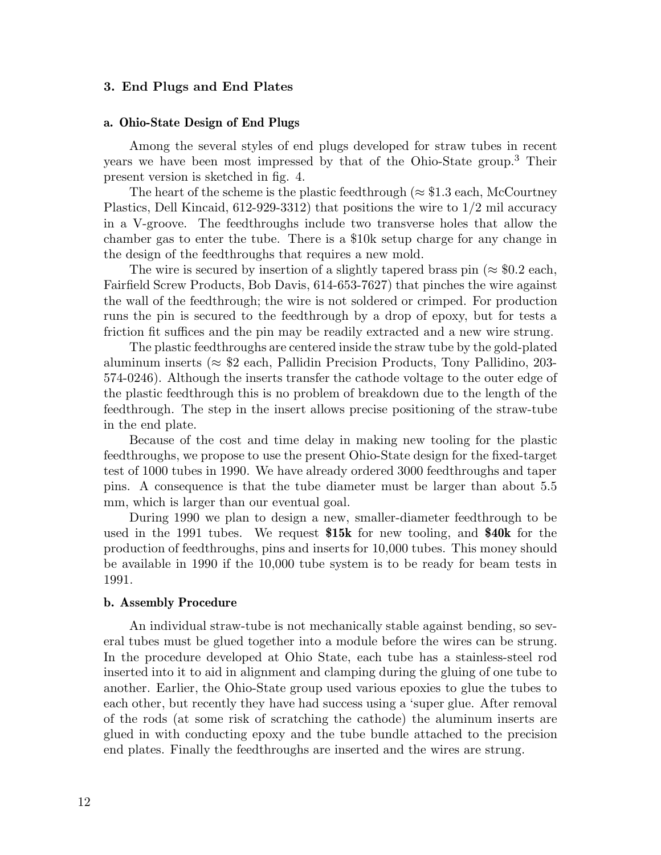#### **3. End Plugs and End Plates**

#### **a. Ohio-State Design of End Plugs**

Among the several styles of end plugs developed for straw tubes in recent years we have been most impressed by that of the Ohio-State group.<sup>3</sup> Their present version is sketched in fig. 4.

The heart of the scheme is the plastic feedthrough ( $\approx$  \$1.3 each, McCourtney Plastics, Dell Kincaid, 612-929-3312) that positions the wire to 1/2 mil accuracy in a V-groove. The feedthroughs include two transverse holes that allow the chamber gas to enter the tube. There is a \$10k setup charge for any change in the design of the feedthroughs that requires a new mold.

The wire is secured by insertion of a slightly tapered brass pin ( $\approx$  \$0.2 each, Fairfield Screw Products, Bob Davis, 614-653-7627) that pinches the wire against the wall of the feedthrough; the wire is not soldered or crimped. For production runs the pin is secured to the feedthrough by a drop of epoxy, but for tests a friction fit suffices and the pin may be readily extracted and a new wire strung.

The plastic feedthroughs are centered inside the straw tube by the gold-plated aluminum inserts ( $\approx$  \$2 each, Pallidin Precision Products, Tony Pallidino, 203-574-0246). Although the inserts transfer the cathode voltage to the outer edge of the plastic feedthrough this is no problem of breakdown due to the length of the feedthrough. The step in the insert allows precise positioning of the straw-tube in the end plate.

Because of the cost and time delay in making new tooling for the plastic feedthroughs, we propose to use the present Ohio-State design for the fixed-target test of 1000 tubes in 1990. We have already ordered 3000 feedthroughs and taper pins. A consequence is that the tube diameter must be larger than about 5.5 mm, which is larger than our eventual goal.

During 1990 we plan to design a new, smaller-diameter feedthrough to be used in the 1991 tubes. We request **\$15k** for new tooling, and **\$40k** for the production of feedthroughs, pins and inserts for 10,000 tubes. This money should be available in 1990 if the 10,000 tube system is to be ready for beam tests in 1991.

#### **b. Assembly Procedure**

An individual straw-tube is not mechanically stable against bending, so several tubes must be glued together into a module before the wires can be strung. In the procedure developed at Ohio State, each tube has a stainless-steel rod inserted into it to aid in alignment and clamping during the gluing of one tube to another. Earlier, the Ohio-State group used various epoxies to glue the tubes to each other, but recently they have had success using a 'super glue. After removal of the rods (at some risk of scratching the cathode) the aluminum inserts are glued in with conducting epoxy and the tube bundle attached to the precision end plates. Finally the feedthroughs are inserted and the wires are strung.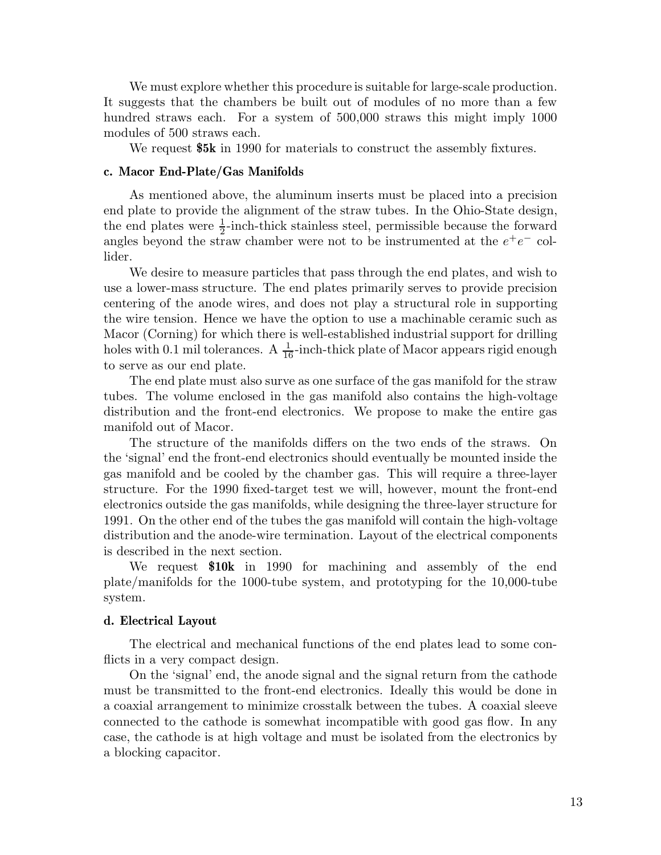We must explore whether this procedure is suitable for large-scale production. It suggests that the chambers be built out of modules of no more than a few hundred straws each. For a system of 500,000 straws this might imply 1000 modules of 500 straws each.

We request **\$5k** in 1990 for materials to construct the assembly fixtures.

#### **c. Macor End-Plate/Gas Manifolds**

As mentioned above, the aluminum inserts must be placed into a precision end plate to provide the alignment of the straw tubes. In the Ohio-State design, the end plates were  $\frac{1}{2}$ -inch-thick stainless steel, permissible because the forward angles beyond the straw chamber were not to be instrumented at the  $e^+e^-$  collider.

We desire to measure particles that pass through the end plates, and wish to use a lower-mass structure. The end plates primarily serves to provide precision centering of the anode wires, and does not play a structural role in supporting the wire tension. Hence we have the option to use a machinable ceramic such as Macor (Corning) for which there is well-established industrial support for drilling holes with 0.1 mil tolerances. A  $\frac{1}{16}$ -inch-thick plate of Macor appears rigid enough to serve as our end plate.

The end plate must also surve as one surface of the gas manifold for the straw tubes. The volume enclosed in the gas manifold also contains the high-voltage distribution and the front-end electronics. We propose to make the entire gas manifold out of Macor.

The structure of the manifolds differs on the two ends of the straws. On the 'signal' end the front-end electronics should eventually be mounted inside the gas manifold and be cooled by the chamber gas. This will require a three-layer structure. For the 1990 fixed-target test we will, however, mount the front-end electronics outside the gas manifolds, while designing the three-layer structure for 1991. On the other end of the tubes the gas manifold will contain the high-voltage distribution and the anode-wire termination. Layout of the electrical components is described in the next section.

We request **\$10k** in 1990 for machining and assembly of the end plate/manifolds for the 1000-tube system, and prototyping for the 10,000-tube system.

#### **d. Electrical Layout**

The electrical and mechanical functions of the end plates lead to some conflicts in a very compact design.

On the 'signal' end, the anode signal and the signal return from the cathode must be transmitted to the front-end electronics. Ideally this would be done in a coaxial arrangement to minimize crosstalk between the tubes. A coaxial sleeve connected to the cathode is somewhat incompatible with good gas flow. In any case, the cathode is at high voltage and must be isolated from the electronics by a blocking capacitor.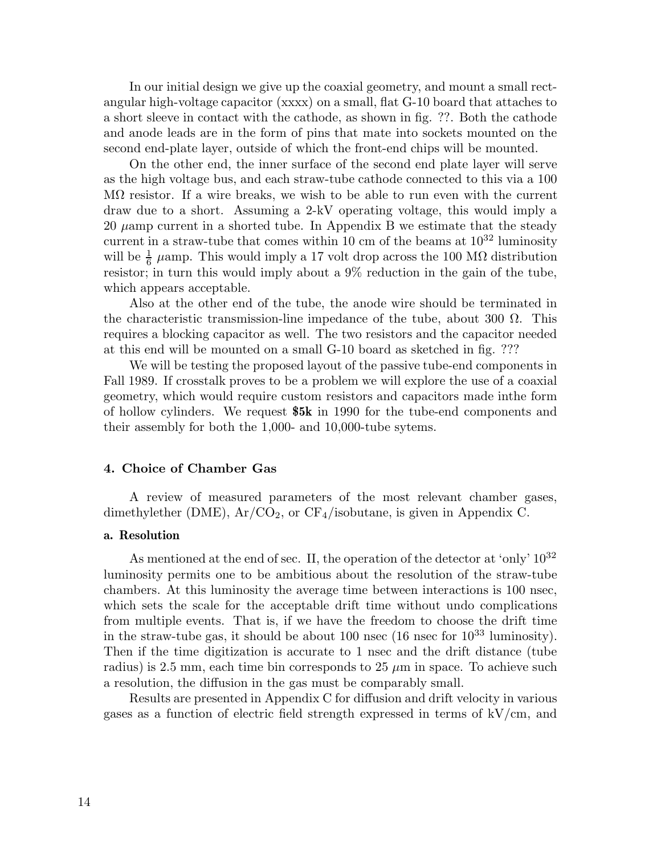In our initial design we give up the coaxial geometry, and mount a small rectangular high-voltage capacitor (xxxx) on a small, flat G-10 board that attaches to a short sleeve in contact with the cathode, as shown in fig. ??. Both the cathode and anode leads are in the form of pins that mate into sockets mounted on the second end-plate layer, outside of which the front-end chips will be mounted.

On the other end, the inner surface of the second end plate layer will serve as the high voltage bus, and each straw-tube cathode connected to this via a 100 MΩ resistor. If a wire breaks, we wish to be able to run even with the current draw due to a short. Assuming a 2-kV operating voltage, this would imply a 20  $\mu$ amp current in a shorted tube. In Appendix B we estimate that the steady current in a straw-tube that comes within 10 cm of the beams at  $10^{32}$  luminosity will be  $\frac{1}{6}$   $\mu$ amp. This would imply a 17 volt drop across the 100 M $\Omega$  distribution resistor; in turn this would imply about a 9% reduction in the gain of the tube, which appears acceptable.

Also at the other end of the tube, the anode wire should be terminated in the characteristic transmission-line impedance of the tube, about 300  $Ω$ . This requires a blocking capacitor as well. The two resistors and the capacitor needed at this end will be mounted on a small G-10 board as sketched in fig. ???

We will be testing the proposed layout of the passive tube-end components in Fall 1989. If crosstalk proves to be a problem we will explore the use of a coaxial geometry, which would require custom resistors and capacitors made inthe form of hollow cylinders. We request **\$5k** in 1990 for the tube-end components and their assembly for both the 1,000- and 10,000-tube sytems.

## **4. Choice of Chamber Gas**

A review of measured parameters of the most relevant chamber gases, dimethylether (DME),  $Ar/CO<sub>2</sub>$ , or  $CF<sub>4</sub>/i$ sobutane, is given in Appendix C.

#### **a. Resolution**

As mentioned at the end of sec. II, the operation of the detector at 'only'  $10^{32}$ luminosity permits one to be ambitious about the resolution of the straw-tube chambers. At this luminosity the average time between interactions is 100 nsec, which sets the scale for the acceptable drift time without undo complications from multiple events. That is, if we have the freedom to choose the drift time in the straw-tube gas, it should be about  $100$  nsec  $(16$  nsec for  $10^{33}$  luminosity). Then if the time digitization is accurate to 1 nsec and the drift distance (tube radius) is 2.5 mm, each time bin corresponds to 25  $\mu$ m in space. To achieve such a resolution, the diffusion in the gas must be comparably small.

Results are presented in Appendix C for diffusion and drift velocity in various gases as a function of electric field strength expressed in terms of kV/cm, and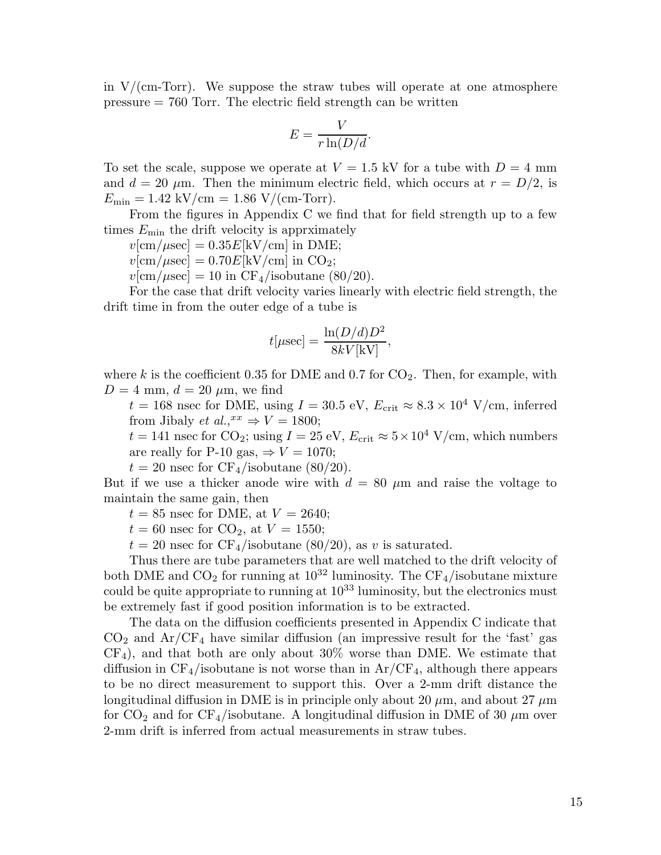in  $V/(cm-Torr)$ . We suppose the straw tubes will operate at one atmosphere  $pressure = 760$  Torr. The electric field strength can be written

$$
E = \frac{V}{r \ln(D/d)}.
$$

To set the scale, suppose we operate at  $V = 1.5$  kV for a tube with  $D = 4$  mm and  $d = 20 \mu m$ . Then the minimum electric field, which occurs at  $r = D/2$ , is  $E_{\text{min}} = 1.42 \text{ kV/cm} = 1.86 \text{ V/(cm-Torr)}.$ 

From the figures in Appendix C we find that for field strength up to a few times  $E_{\text{min}}$  the drift velocity is apprximately

 $v[\text{cm}/\mu \text{sec}] = 0.35E[\text{kV/cm}]$  in DME;

 $v[\text{cm}/\mu \text{sec}] = 0.70E[\text{kV/cm}]$  in CO<sub>2</sub>;

 $v[\text{cm}/\mu \text{sec}] = 10$  in CF<sub>4</sub>/isobutane (80/20).

For the case that drift velocity varies linearly with electric field strength, the drift time in from the outer edge of a tube is

$$
t[\mu \text{sec}] = \frac{\ln(D/d)D^2}{8kV[\text{kV}]},
$$

where k is the coefficient 0.35 for DME and 0.7 for  $CO_2$ . Then, for example, with  $D = 4$  mm,  $d = 20 \mu$ m, we find

 $t = 168$  nsec for DME, using  $I = 30.5$  eV,  $E_{\text{crit}} \approx 8.3 \times 10^4$  V/cm, inferred from Jibaly *et al.*, $^{xx} \Rightarrow V = 1800$ ;

 $t = 141$  nsec for CO<sub>2</sub>; using  $I = 25$  eV,  $E_{\text{crit}} \approx 5 \times 10^4$  V/cm, which numbers are really for P-10 gas,  $\Rightarrow$   $V = 1070$ ;

 $t = 20$  nsec for  $CF_4$ /isobutane (80/20).

But if we use a thicker anode wire with  $d = 80 \mu m$  and raise the voltage to maintain the same gain, then

 $t = 85$  nsec for DME, at  $V = 2640$ ;

 $t = 60$  nsec for  $CO_2$ , at  $V = 1550$ ;

 $t = 20$  nsec for CF<sub>4</sub>/isobutane (80/20), as v is saturated.

Thus there are tube parameters that are well matched to the drift velocity of both DME and  $CO_2$  for running at  $10^{32}$  luminosity. The CF<sub>4</sub>/isobutane mixture could be quite appropriate to running at  $10^{33}$  luminosity, but the electronics must be extremely fast if good position information is to be extracted.

The data on the diffusion coefficients presented in Appendix C indicate that  $CO<sub>2</sub>$  and  $Ar/CF<sub>4</sub>$  have similar diffusion (an impressive result for the 'fast' gas  $CF<sub>4</sub>$ ), and that both are only about 30% worse than DME. We estimate that diffusion in  $CF_4$ /isobutane is not worse than in  $Ar/CF_4$ , although there appears to be no direct measurement to support this. Over a 2-mm drift distance the longitudinal diffusion in DME is in principle only about 20  $\mu$ m, and about 27  $\mu$ m for  $CO_2$  and for  $CF_4$ /isobutane. A longitudinal diffusion in DME of 30  $\mu$ m over 2-mm drift is inferred from actual measurements in straw tubes.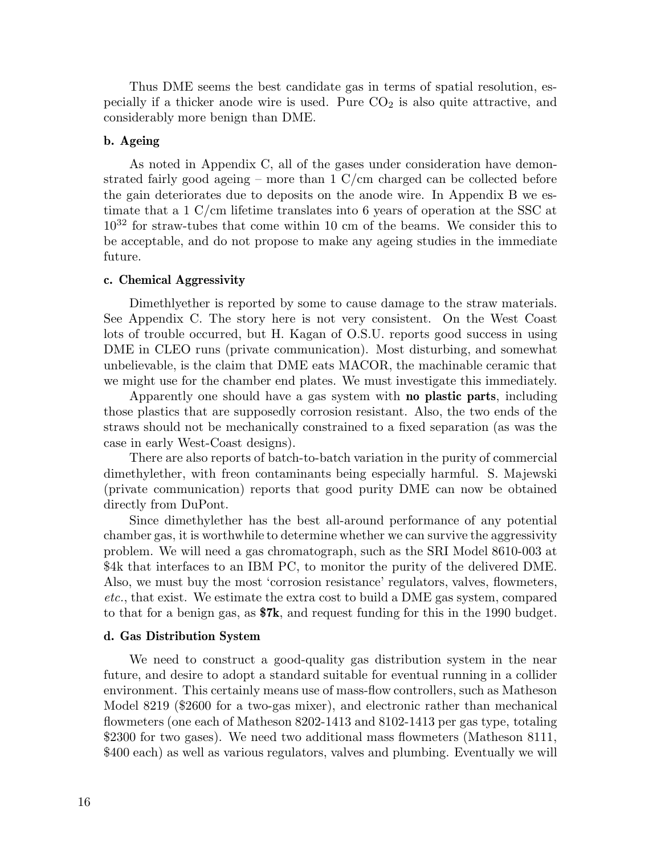Thus DME seems the best candidate gas in terms of spatial resolution, especially if a thicker anode wire is used. Pure  $CO<sub>2</sub>$  is also quite attractive, and considerably more benign than DME.

## **b. Ageing**

As noted in Appendix C, all of the gases under consideration have demonstrated fairly good ageing – more than  $1 \text{ C/cm}$  charged can be collected before the gain deteriorates due to deposits on the anode wire. In Appendix B we estimate that a 1 C/cm lifetime translates into 6 years of operation at the SSC at  $10^{32}$  for straw-tubes that come within 10 cm of the beams. We consider this to be acceptable, and do not propose to make any ageing studies in the immediate future.

#### **c. Chemical Aggressivity**

Dimethlyether is reported by some to cause damage to the straw materials. See Appendix C. The story here is not very consistent. On the West Coast lots of trouble occurred, but H. Kagan of O.S.U. reports good success in using DME in CLEO runs (private communication). Most disturbing, and somewhat unbelievable, is the claim that DME eats MACOR, the machinable ceramic that we might use for the chamber end plates. We must investigate this immediately.

Apparently one should have a gas system with **no plastic parts**, including those plastics that are supposedly corrosion resistant. Also, the two ends of the straws should not be mechanically constrained to a fixed separation (as was the case in early West-Coast designs).

There are also reports of batch-to-batch variation in the purity of commercial dimethylether, with freon contaminants being especially harmful. S. Majewski (private communication) reports that good purity DME can now be obtained directly from DuPont.

Since dimethylether has the best all-around performance of any potential chamber gas, it is worthwhile to determine whether we can survive the aggressivity problem. We will need a gas chromatograph, such as the SRI Model 8610-003 at \$4k that interfaces to an IBM PC, to monitor the purity of the delivered DME. Also, we must buy the most 'corrosion resistance' regulators, valves, flowmeters, *etc.*, that exist. We estimate the extra cost to build a DME gas system, compared to that for a benign gas, as **\$7k**, and request funding for this in the 1990 budget.

#### **d. Gas Distribution System**

We need to construct a good-quality gas distribution system in the near future, and desire to adopt a standard suitable for eventual running in a collider environment. This certainly means use of mass-flow controllers, such as Matheson Model 8219 (\$2600 for a two-gas mixer), and electronic rather than mechanical flowmeters (one each of Matheson 8202-1413 and 8102-1413 per gas type, totaling \$2300 for two gases). We need two additional mass flowmeters (Matheson 8111, \$400 each) as well as various regulators, valves and plumbing. Eventually we will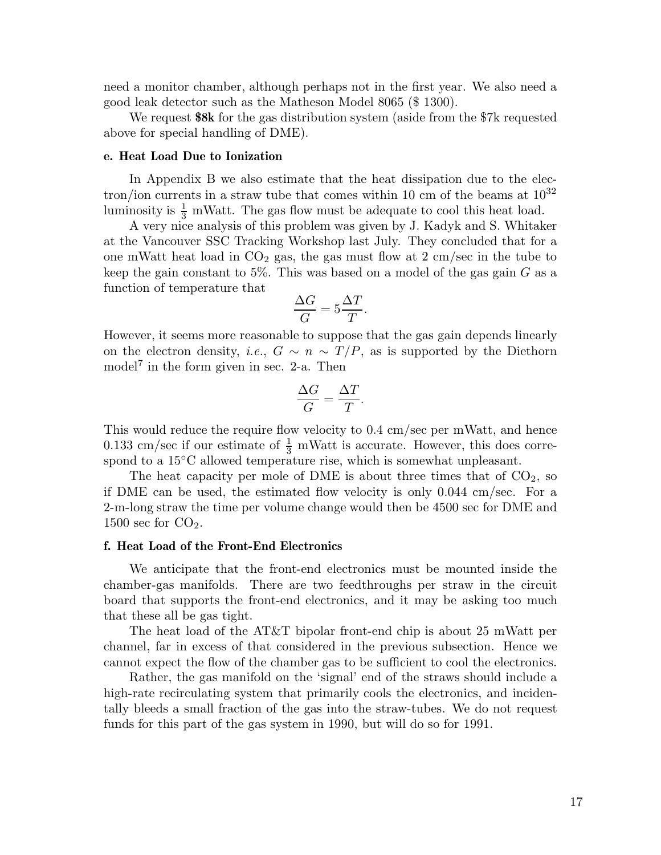need a monitor chamber, although perhaps not in the first year. We also need a good leak detector such as the Matheson Model 8065 (\$ 1300).

We request **\$8k** for the gas distribution system (aside from the \$7k requested above for special handling of DME).

#### **e. Heat Load Due to Ionization**

In Appendix B we also estimate that the heat dissipation due to the electron/ion currents in a straw tube that comes within 10 cm of the beams at  $10^{32}$ luminosity is  $\frac{1}{3}$  mWatt. The gas flow must be adequate to cool this heat load.

A very nice analysis of this problem was given by J. Kadyk and S. Whitaker at the Vancouver SSC Tracking Workshop last July. They concluded that for a one mWatt heat load in  $CO<sub>2</sub>$  gas, the gas must flow at  $2 \text{ cm/sec}$  in the tube to keep the gain constant to 5%. This was based on a model of the gas gain  $G$  as a function of temperature that

$$
\frac{\Delta G}{G} = 5\frac{\Delta T}{T}.
$$

However, it seems more reasonable to suppose that the gas gain depends linearly on the electron density, *i.e.*,  $G \sim n \sim T/P$ , as is supported by the Diethorn model<sup>7</sup> in the form given in sec. 2-a. Then

$$
\frac{\Delta G}{G} = \frac{\Delta T}{T}.
$$

This would reduce the require flow velocity to 0.4 cm/sec per mWatt, and hence 0.133 cm/sec if our estimate of  $\frac{1}{3}$  mWatt is accurate. However, this does correspond to a 15<sup>°</sup>C allowed temperature rise, which is somewhat unpleasant.

The heat capacity per mole of DME is about three times that of  $CO<sub>2</sub>$ , so if DME can be used, the estimated flow velocity is only 0.044 cm/sec. For a 2-m-long straw the time per volume change would then be 4500 sec for DME and 1500 sec for  $CO<sub>2</sub>$ .

#### **f. Heat Load of the Front-End Electronics**

We anticipate that the front-end electronics must be mounted inside the chamber-gas manifolds. There are two feedthroughs per straw in the circuit board that supports the front-end electronics, and it may be asking too much that these all be gas tight.

The heat load of the AT&T bipolar front-end chip is about 25 mWatt per channel, far in excess of that considered in the previous subsection. Hence we cannot expect the flow of the chamber gas to be sufficient to cool the electronics.

Rather, the gas manifold on the 'signal' end of the straws should include a high-rate recirculating system that primarily cools the electronics, and incidentally bleeds a small fraction of the gas into the straw-tubes. We do not request funds for this part of the gas system in 1990, but will do so for 1991.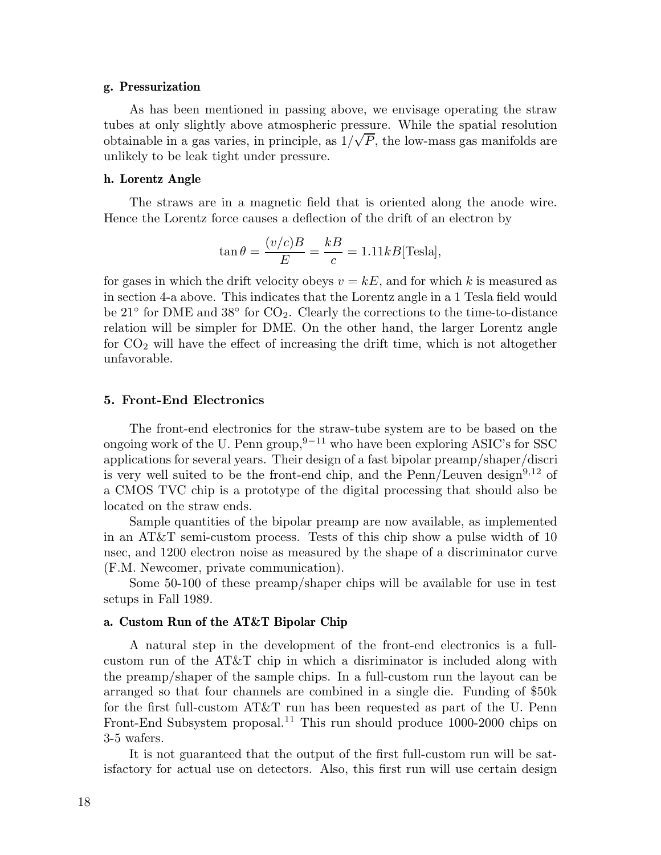#### **g. Pressurization**

As has been mentioned in passing above, we envisage operating the straw tubes at only slightly above atmospheric pressure. While the spatial resolution obtainable in a gas varies, in principle, as  $1/\sqrt{P}$ , the low-mass gas manifolds are unlikely to be leak tight under pressure.

#### **h. Lorentz Angle**

The straws are in a magnetic field that is oriented along the anode wire. Hence the Lorentz force causes a deflection of the drift of an electron by

$$
\tan \theta = \frac{(v/c)B}{E} = \frac{kB}{c} = 1.11kB
$$
[Tesla],

for gases in which the drift velocity obeys  $v = kE$ , and for which k is measured as in section 4-a above. This indicates that the Lorentz angle in a 1 Tesla field would be 21 $\degree$  for DME and 38 $\degree$  for CO<sub>2</sub>. Clearly the corrections to the time-to-distance relation will be simpler for DME. On the other hand, the larger Lorentz angle for  $CO<sub>2</sub>$  will have the effect of increasing the drift time, which is not altogether unfavorable.

#### **5. Front-End Electronics**

The front-end electronics for the straw-tube system are to be based on the ongoing work of the U. Penn group,  $9-11$  who have been exploring ASIC's for SSC applications for several years. Their design of a fast bipolar preamp/shaper/discri is very well suited to be the front-end chip, and the  $Penn/Leuven$  design<sup>9,12</sup> of a CMOS TVC chip is a prototype of the digital processing that should also be located on the straw ends.

Sample quantities of the bipolar preamp are now available, as implemented in an AT&T semi-custom process. Tests of this chip show a pulse width of 10 nsec, and 1200 electron noise as measured by the shape of a discriminator curve (F.M. Newcomer, private communication).

Some 50-100 of these preamp/shaper chips will be available for use in test setups in Fall 1989.

#### **a. Custom Run of the AT&T Bipolar Chip**

A natural step in the development of the front-end electronics is a fullcustom run of the AT&T chip in which a disriminator is included along with the preamp/shaper of the sample chips. In a full-custom run the layout can be arranged so that four channels are combined in a single die. Funding of \$50k for the first full-custom AT&T run has been requested as part of the U. Penn Front-End Subsystem proposal.<sup>11</sup> This run should produce 1000-2000 chips on 3-5 wafers.

It is not guaranteed that the output of the first full-custom run will be satisfactory for actual use on detectors. Also, this first run will use certain design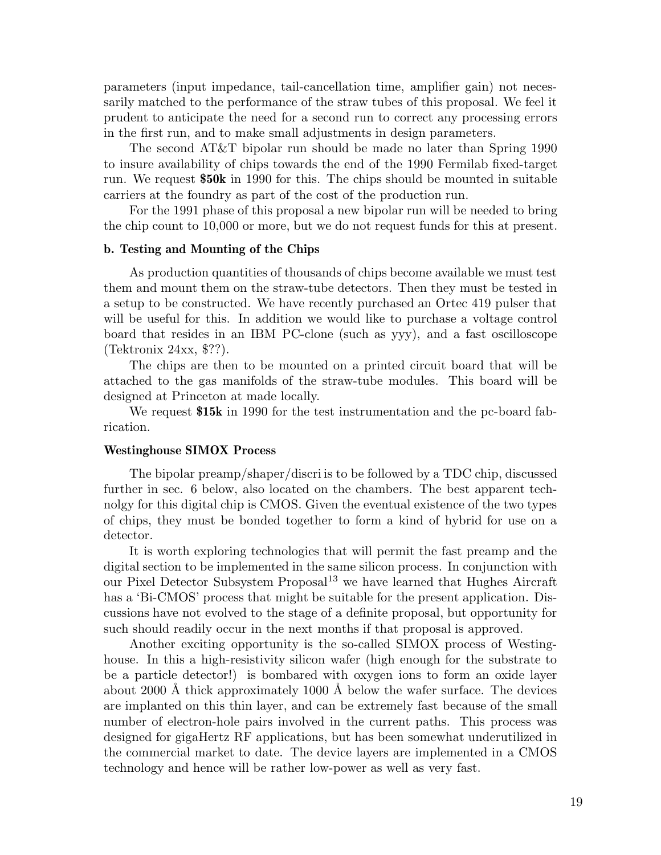parameters (input impedance, tail-cancellation time, amplifier gain) not necessarily matched to the performance of the straw tubes of this proposal. We feel it prudent to anticipate the need for a second run to correct any processing errors in the first run, and to make small adjustments in design parameters.

The second AT&T bipolar run should be made no later than Spring 1990 to insure availability of chips towards the end of the 1990 Fermilab fixed-target run. We request **\$50k** in 1990 for this. The chips should be mounted in suitable carriers at the foundry as part of the cost of the production run.

For the 1991 phase of this proposal a new bipolar run will be needed to bring the chip count to 10,000 or more, but we do not request funds for this at present.

#### **b. Testing and Mounting of the Chips**

As production quantities of thousands of chips become available we must test them and mount them on the straw-tube detectors. Then they must be tested in a setup to be constructed. We have recently purchased an Ortec 419 pulser that will be useful for this. In addition we would like to purchase a voltage control board that resides in an IBM PC-clone (such as yyy), and a fast oscilloscope (Tektronix 24xx, \$??).

The chips are then to be mounted on a printed circuit board that will be attached to the gas manifolds of the straw-tube modules. This board will be designed at Princeton at made locally.

We request **\$15k** in 1990 for the test instrumentation and the pc-board fabrication.

#### **Westinghouse SIMOX Process**

The bipolar preamp/shaper/discri is to be followed by a TDC chip, discussed further in sec. 6 below, also located on the chambers. The best apparent technolgy for this digital chip is CMOS. Given the eventual existence of the two types of chips, they must be bonded together to form a kind of hybrid for use on a detector.

It is worth exploring technologies that will permit the fast preamp and the digital section to be implemented in the same silicon process. In conjunction with our Pixel Detector Subsystem Proposal<sup>13</sup> we have learned that Hughes Aircraft has a 'Bi-CMOS' process that might be suitable for the present application. Discussions have not evolved to the stage of a definite proposal, but opportunity for such should readily occur in the next months if that proposal is approved.

Another exciting opportunity is the so-called SIMOX process of Westinghouse. In this a high-resistivity silicon wafer (high enough for the substrate to be a particle detector!) is bombared with oxygen ions to form an oxide layer about 2000 Å thick approximately 1000 Å below the wafer surface. The devices are implanted on this thin layer, and can be extremely fast because of the small number of electron-hole pairs involved in the current paths. This process was designed for gigaHertz RF applications, but has been somewhat underutilized in the commercial market to date. The device layers are implemented in a CMOS technology and hence will be rather low-power as well as very fast.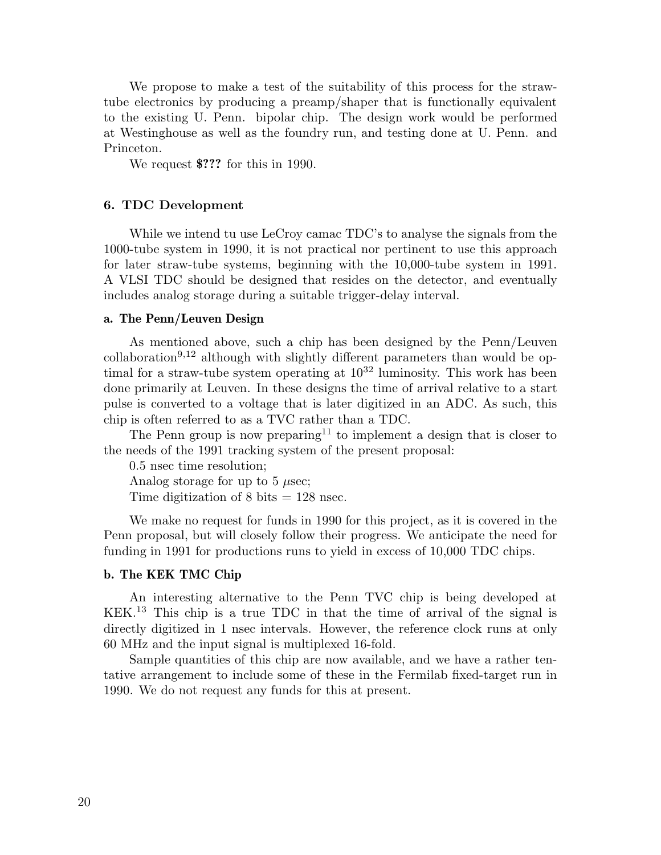We propose to make a test of the suitability of this process for the strawtube electronics by producing a preamp/shaper that is functionally equivalent to the existing U. Penn. bipolar chip. The design work would be performed at Westinghouse as well as the foundry run, and testing done at U. Penn. and Princeton.

We request **\$???** for this in 1990.

#### **6. TDC Development**

While we intend tu use LeCroy camac TDC's to analyse the signals from the 1000-tube system in 1990, it is not practical nor pertinent to use this approach for later straw-tube systems, beginning with the 10,000-tube system in 1991. A VLSI TDC should be designed that resides on the detector, and eventually includes analog storage during a suitable trigger-delay interval.

#### **a. The Penn/Leuven Design**

As mentioned above, such a chip has been designed by the Penn/Leuven collaboration<sup>9,12</sup> although with slightly different parameters than would be optimal for a straw-tube system operating at  $10^{32}$  luminosity. This work has been done primarily at Leuven. In these designs the time of arrival relative to a start pulse is converted to a voltage that is later digitized in an ADC. As such, this chip is often referred to as a TVC rather than a TDC.

The Penn group is now preparing<sup>11</sup> to implement a design that is closer to the needs of the 1991 tracking system of the present proposal:

0.5 nsec time resolution; Analog storage for up to 5  $\mu$ sec; Time digitization of 8 bits  $= 128$  nsec.

We make no request for funds in 1990 for this project, as it is covered in the Penn proposal, but will closely follow their progress. We anticipate the need for funding in 1991 for productions runs to yield in excess of 10,000 TDC chips.

#### **b. The KEK TMC Chip**

An interesting alternative to the Penn TVC chip is being developed at KEK.<sup>13</sup> This chip is a true TDC in that the time of arrival of the signal is directly digitized in 1 nsec intervals. However, the reference clock runs at only 60 MHz and the input signal is multiplexed 16-fold.

Sample quantities of this chip are now available, and we have a rather tentative arrangement to include some of these in the Fermilab fixed-target run in 1990. We do not request any funds for this at present.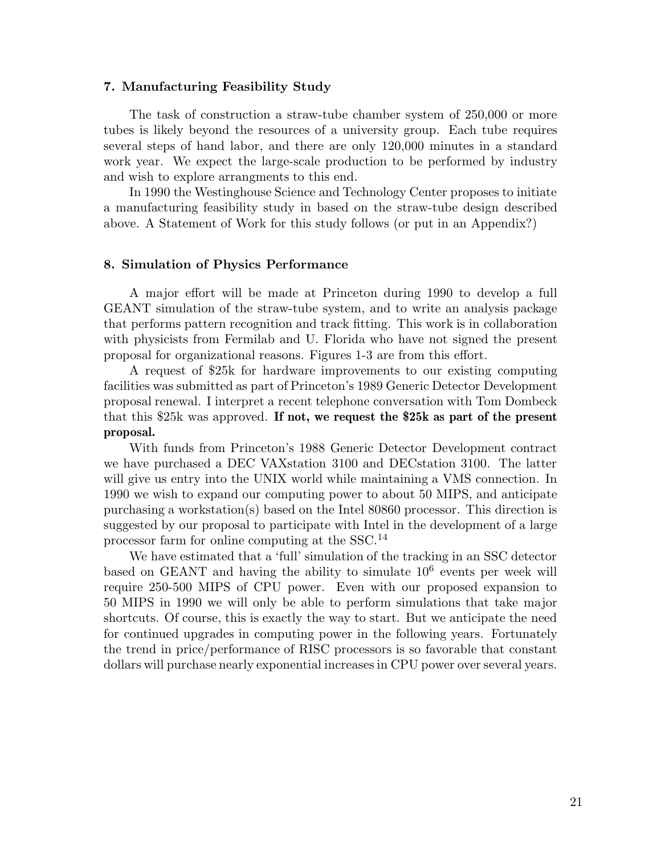#### **7. Manufacturing Feasibility Study**

The task of construction a straw-tube chamber system of 250,000 or more tubes is likely beyond the resources of a university group. Each tube requires several steps of hand labor, and there are only 120,000 minutes in a standard work year. We expect the large-scale production to be performed by industry and wish to explore arrangments to this end.

In 1990 the Westinghouse Science and Technology Center proposes to initiate a manufacturing feasibility study in based on the straw-tube design described above. A Statement of Work for this study follows (or put in an Appendix?)

#### **8. Simulation of Physics Performance**

A major effort will be made at Princeton during 1990 to develop a full GEANT simulation of the straw-tube system, and to write an analysis package that performs pattern recognition and track fitting. This work is in collaboration with physicists from Fermilab and U. Florida who have not signed the present proposal for organizational reasons. Figures 1-3 are from this effort.

A request of \$25k for hardware improvements to our existing computing facilities was submitted as part of Princeton's 1989 Generic Detector Development proposal renewal. I interpret a recent telephone conversation with Tom Dombeck that this \$25k was approved. **If not, we request the \$25k as part of the present proposal.**

With funds from Princeton's 1988 Generic Detector Development contract we have purchased a DEC VAXstation 3100 and DECstation 3100. The latter will give us entry into the UNIX world while maintaining a VMS connection. In 1990 we wish to expand our computing power to about 50 MIPS, and anticipate purchasing a workstation(s) based on the Intel 80860 processor. This direction is suggested by our proposal to participate with Intel in the development of a large processor farm for online computing at the SSC.<sup>14</sup>

We have estimated that a 'full' simulation of the tracking in an SSC detector based on GEANT and having the ability to simulate  $10^6$  events per week will require 250-500 MIPS of CPU power. Even with our proposed expansion to 50 MIPS in 1990 we will only be able to perform simulations that take major shortcuts. Of course, this is exactly the way to start. But we anticipate the need for continued upgrades in computing power in the following years. Fortunately the trend in price/performance of RISC processors is so favorable that constant dollars will purchase nearly exponential increases in CPU power over several years.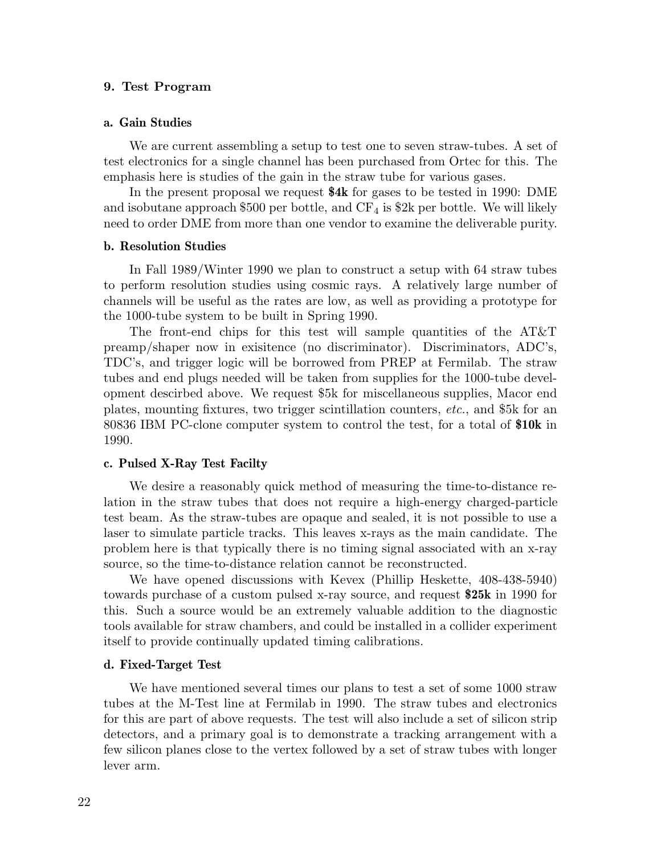#### **9. Test Program**

#### **a. Gain Studies**

We are current assembling a setup to test one to seven straw-tubes. A set of test electronics for a single channel has been purchased from Ortec for this. The emphasis here is studies of the gain in the straw tube for various gases.

In the present proposal we request **\$4k** for gases to be tested in 1990: DME and isobutane approach \$500 per bottle, and  $CF_4$  is \$2k per bottle. We will likely need to order DME from more than one vendor to examine the deliverable purity.

#### **b. Resolution Studies**

In Fall 1989/Winter 1990 we plan to construct a setup with 64 straw tubes to perform resolution studies using cosmic rays. A relatively large number of channels will be useful as the rates are low, as well as providing a prototype for the 1000-tube system to be built in Spring 1990.

The front-end chips for this test will sample quantities of the AT&T preamp/shaper now in exisitence (no discriminator). Discriminators, ADC's, TDC's, and trigger logic will be borrowed from PREP at Fermilab. The straw tubes and end plugs needed will be taken from supplies for the 1000-tube development descirbed above. We request \$5k for miscellaneous supplies, Macor end plates, mounting fixtures, two trigger scintillation counters, *etc.*, and \$5k for an 80836 IBM PC-clone computer system to control the test, for a total of **\$10k** in 1990.

#### **c. Pulsed X-Ray Test Facilty**

We desire a reasonably quick method of measuring the time-to-distance relation in the straw tubes that does not require a high-energy charged-particle test beam. As the straw-tubes are opaque and sealed, it is not possible to use a laser to simulate particle tracks. This leaves x-rays as the main candidate. The problem here is that typically there is no timing signal associated with an x-ray source, so the time-to-distance relation cannot be reconstructed.

We have opened discussions with Kevex (Phillip Heskette, 408-438-5940) towards purchase of a custom pulsed x-ray source, and request **\$25k** in 1990 for this. Such a source would be an extremely valuable addition to the diagnostic tools available for straw chambers, and could be installed in a collider experiment itself to provide continually updated timing calibrations.

#### **d. Fixed-Target Test**

We have mentioned several times our plans to test a set of some 1000 straw tubes at the M-Test line at Fermilab in 1990. The straw tubes and electronics for this are part of above requests. The test will also include a set of silicon strip detectors, and a primary goal is to demonstrate a tracking arrangement with a few silicon planes close to the vertex followed by a set of straw tubes with longer lever arm.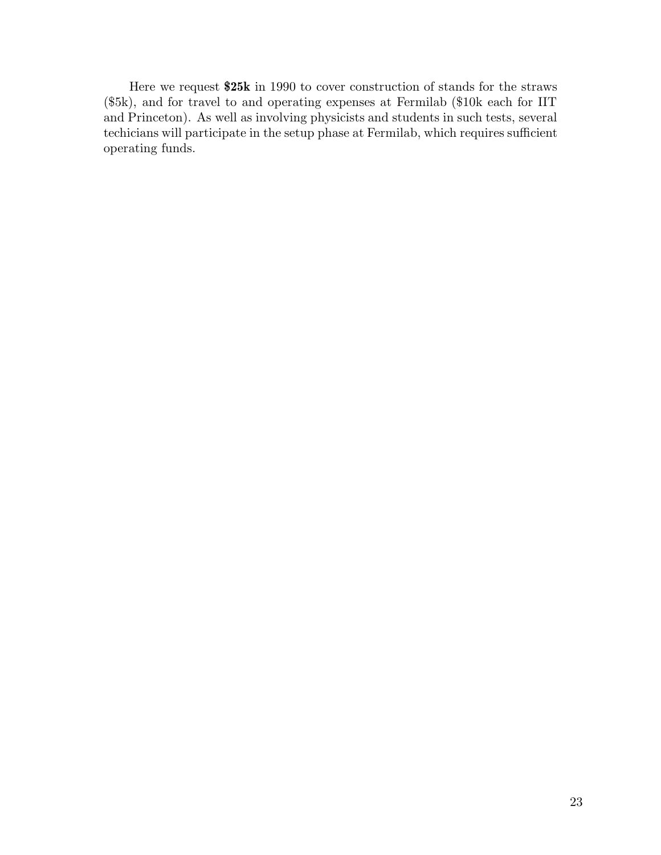Here we request **\$25k** in 1990 to cover construction of stands for the straws (\$5k), and for travel to and operating expenses at Fermilab (\$10k each for IIT and Princeton). As well as involving physicists and students in such tests, several techicians will participate in the setup phase at Fermilab, which requires sufficient operating funds.